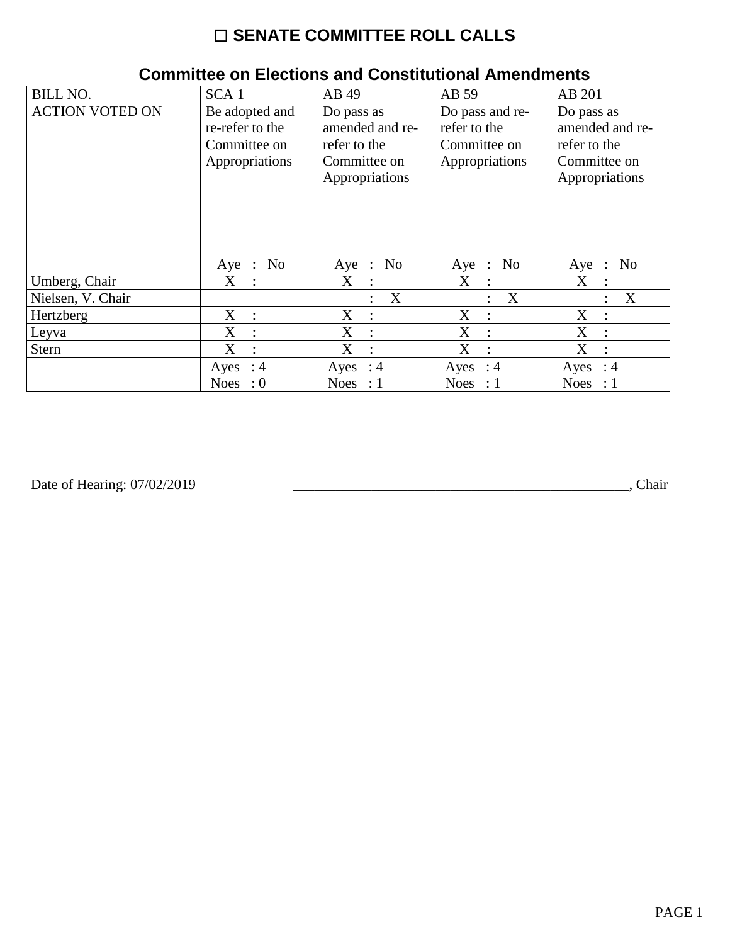# ☐ **SENATE COMMITTEE ROLL CALLS**

| <b>BILL NO.</b>        | SCA <sub>1</sub>                                                    | AB 49                                                                           | AB 59                                                             | AB 201                                                                          |
|------------------------|---------------------------------------------------------------------|---------------------------------------------------------------------------------|-------------------------------------------------------------------|---------------------------------------------------------------------------------|
| <b>ACTION VOTED ON</b> | Be adopted and<br>re-refer to the<br>Committee on<br>Appropriations | Do pass as<br>amended and re-<br>refer to the<br>Committee on<br>Appropriations | Do pass and re-<br>refer to the<br>Committee on<br>Appropriations | Do pass as<br>amended and re-<br>refer to the<br>Committee on<br>Appropriations |
|                        | No<br>Aye :                                                         | Aye : No                                                                        | No<br>$Aye$ :                                                     | No<br>Aye<br>$\ddot{\phantom{1}}$                                               |
| Umberg, Chair          | X<br>$\mathcal{L}$                                                  | X<br>$\ddot{\phantom{a}}$                                                       | X<br>$\cdot$ :                                                    | X<br>$\bullet$                                                                  |
| Nielsen, V. Chair      |                                                                     | X<br>$\ddot{\cdot}$                                                             | $\boldsymbol{X}$<br>$\ddot{\cdot}$                                | X<br>$\ddot{\cdot}$                                                             |
| Hertzberg              | $X_{\mathcal{L}}$                                                   | X                                                                               | X                                                                 | X                                                                               |
| Leyva                  | X<br>$\ddot{\cdot}$                                                 | X                                                                               | X                                                                 | X                                                                               |
| <b>Stern</b>           | X<br>$\ddot{\cdot}$                                                 | X                                                                               | X                                                                 | X                                                                               |
|                        | Ayes<br>:4                                                          | Ayes<br>: 4                                                                     | Ayes<br>: 4                                                       | Ayes<br>:4                                                                      |
|                        | $\cdot 0$<br><b>Noes</b>                                            | Noes : $1$                                                                      | Noes : $1$                                                        | <b>Noes</b><br>$\therefore$ 1                                                   |

#### **Committee on Elections and Constitutional Amendments**

Date of Hearing: 07/02/2019

Date of Hearing: 07/02/2019 \_\_\_\_\_\_\_\_\_\_\_\_\_\_\_\_\_\_\_\_\_\_\_\_\_\_\_\_\_\_\_\_\_\_\_\_\_\_\_\_\_\_\_\_\_\_\_, Chair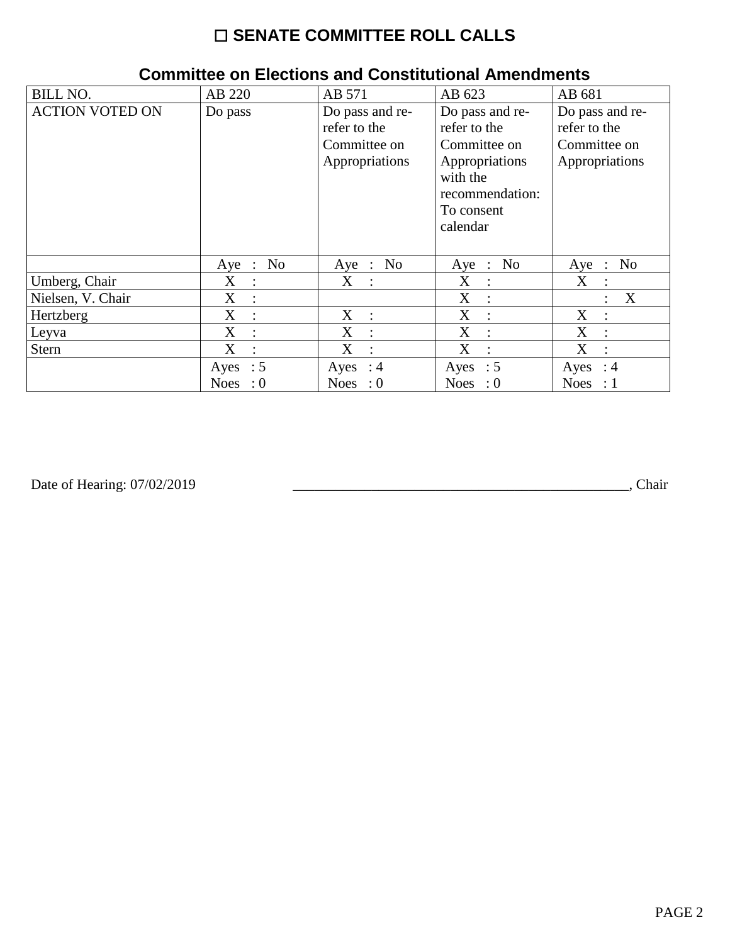# ☐ **SENATE COMMITTEE ROLL CALLS**

| <b>BILL NO.</b>        | AB 220                              | AB 571                                                            | AB 623                                                                                                                     | AB 681                                                            |
|------------------------|-------------------------------------|-------------------------------------------------------------------|----------------------------------------------------------------------------------------------------------------------------|-------------------------------------------------------------------|
| <b>ACTION VOTED ON</b> | Do pass                             | Do pass and re-<br>refer to the<br>Committee on<br>Appropriations | Do pass and re-<br>refer to the<br>Committee on<br>Appropriations<br>with the<br>recommendation:<br>To consent<br>calendar | Do pass and re-<br>refer to the<br>Committee on<br>Appropriations |
|                        | No<br>$Aye$ :                       | Aye : No                                                          | Aye : No                                                                                                                   | N <sub>0</sub><br>Aye<br>$\sim 10^6$                              |
| Umberg, Chair          | $X_{\mathcal{E}}$<br>$\ddot{\cdot}$ | X :                                                               | X<br>$\ddot{\cdot}$                                                                                                        | $X_{\mathcal{E}}$<br>$\ddot{\cdot}$                               |
| Nielsen, V. Chair      | $X_{\mathcal{E}}$<br>$\ddot{\cdot}$ |                                                                   | X<br>$\cdot$ :                                                                                                             | X<br>$\ddot{\cdot}$                                               |
| Hertzberg              | $X_{\mathcal{E}}$<br>$\ddot{\cdot}$ | $X_{\mathcal{C}}$<br>$\ddot{\phantom{0}}$                         | X<br>$\cdot$ :                                                                                                             | X<br>$\ddot{\cdot}$                                               |
| Leyva                  | X<br>$\ddot{\phantom{a}}$           | X<br>$\ddot{\phantom{a}}$                                         | X<br>$\cdot$                                                                                                               | X<br>$\ddot{\phantom{a}}$                                         |
| Stern                  | X<br>$\ddot{\cdot}$                 | X<br>$\ddot{\cdot}$                                               | X<br>$\ddot{\cdot}$                                                                                                        | X<br>$\ddot{\phantom{a}}$                                         |
|                        | Ayes : $5$                          | Ayes : $4$                                                        | Ayes : $5$                                                                                                                 | Ayes<br>$\therefore$ 4                                            |
|                        | <b>Noes</b><br>: 0                  | Noes : $0$                                                        | Noes : $0$                                                                                                                 | <b>Noes</b><br>$\therefore$ 1                                     |

#### **Committee on Elections and Constitutional Amendments**

Date of Hearing: 07/02/2019

Date of Hearing: 07/02/2019 \_\_\_\_\_\_\_\_\_\_\_\_\_\_\_\_\_\_\_\_\_\_\_\_\_\_\_\_\_\_\_\_\_\_\_\_\_\_\_\_\_\_\_\_\_\_\_, Chair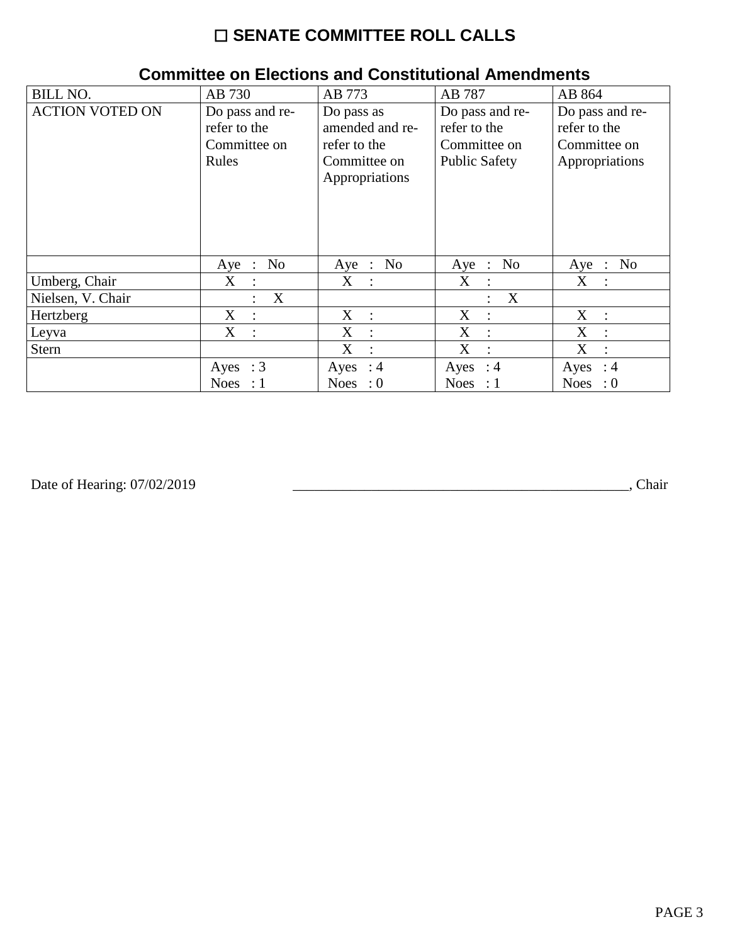# $\square$  SENATE COMMITTEE ROLL CALLS

| <b>BILL NO.</b>        | AB 730                                | AB 773              | AB 787                                            | AB 864                                  |
|------------------------|---------------------------------------|---------------------|---------------------------------------------------|-----------------------------------------|
| <b>ACTION VOTED ON</b> | Do pass and re-                       | Do pass as          | Do pass and re-                                   | Do pass and re-                         |
|                        | refer to the                          | amended and re-     | refer to the                                      | refer to the                            |
|                        | Committee on                          | refer to the        | Committee on                                      | Committee on                            |
|                        | Rules                                 | Committee on        | <b>Public Safety</b>                              | Appropriations                          |
|                        |                                       | Appropriations      |                                                   |                                         |
|                        |                                       |                     |                                                   |                                         |
|                        |                                       |                     |                                                   |                                         |
|                        |                                       |                     |                                                   |                                         |
|                        |                                       |                     |                                                   |                                         |
|                        | N <sub>0</sub><br>Aye<br>$\therefore$ | Aye : No            | No<br>$Aye$ :                                     | N <sub>0</sub><br>Aye<br>$\mathbb{R}^2$ |
| Umberg, Chair          | X<br>$\mathbb{R}^2$                   | X :                 | X<br>$\mathbb{R}^2$                               | X :                                     |
| Nielsen, V. Chair      | X<br>$\ddot{\cdot}$                   |                     | $\boldsymbol{\mathrm{X}}$<br>$\ddot{\phantom{a}}$ |                                         |
| Hertzberg              | $X_{\mathcal{L}}$<br>$\cdot$          | X<br>$\mathbb{R}^2$ | X                                                 | X<br>$\ddot{\phantom{a}}$               |
| Leyva                  | X<br>$\ddot{\cdot}$                   | X<br>$\ddot{\cdot}$ | X                                                 | X<br>$\bullet$                          |
| <b>Stern</b>           |                                       | X<br>$\ddot{\cdot}$ | X                                                 | X                                       |
|                        | Ayes : $3$                            | Ayes : $4$          | Ayes : $4$                                        | Ayes<br>: 4                             |
|                        | <b>Noes</b><br>$\therefore$ 1         | Noes : $0$          | Noes : $1$                                        | <b>Noes</b><br>$\therefore 0$           |

#### **Committee on Elections and Constitutional Amendments**

Date of Hearing: 07/02/2019